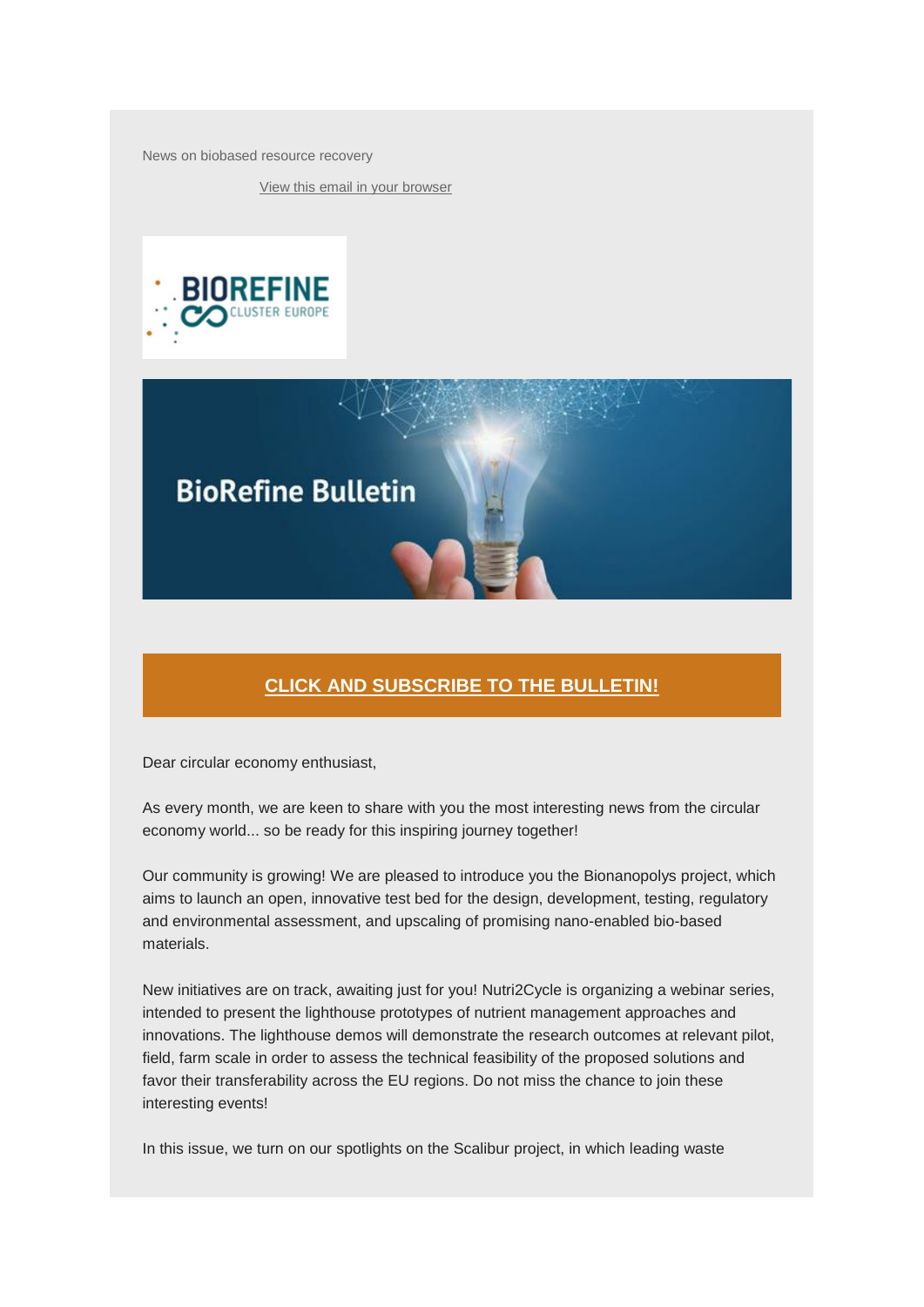News on biobased resource recovery

[View this email in your browser](https://mailchi.mp/97e7ecb169bf/biorefine-cluster-news-bulletin-march-2022?e=%5bUNIQID%5d)





# **[CLICK AND SUBSCRIBE TO THE BULLETIN!](http://eepurl.com/c876Jn)**

Dear circular economy enthusiast,

As every month, we are keen to share with you the most interesting news from the circular economy world... so be ready for this inspiring journey together!

Our community is growing! We are pleased to introduce you the Bionanopolys project, which aims to launch an open, innovative test bed for the design, development, testing, regulatory and environmental assessment, and upscaling of promising nano-enabled bio-based materials.

New initiatives are on track, awaiting just for you! Nutri2Cycle is organizing a webinar series, intended to present the lighthouse prototypes of nutrient management approaches and innovations. The lighthouse demos will demonstrate the research outcomes at relevant pilot, field, farm scale in order to assess the technical feasibility of the proposed solutions and favor their transferability across the EU regions. Do not miss the chance to join these interesting events!

In this issue, we turn on our spotlights on the Scalibur project, in which leading waste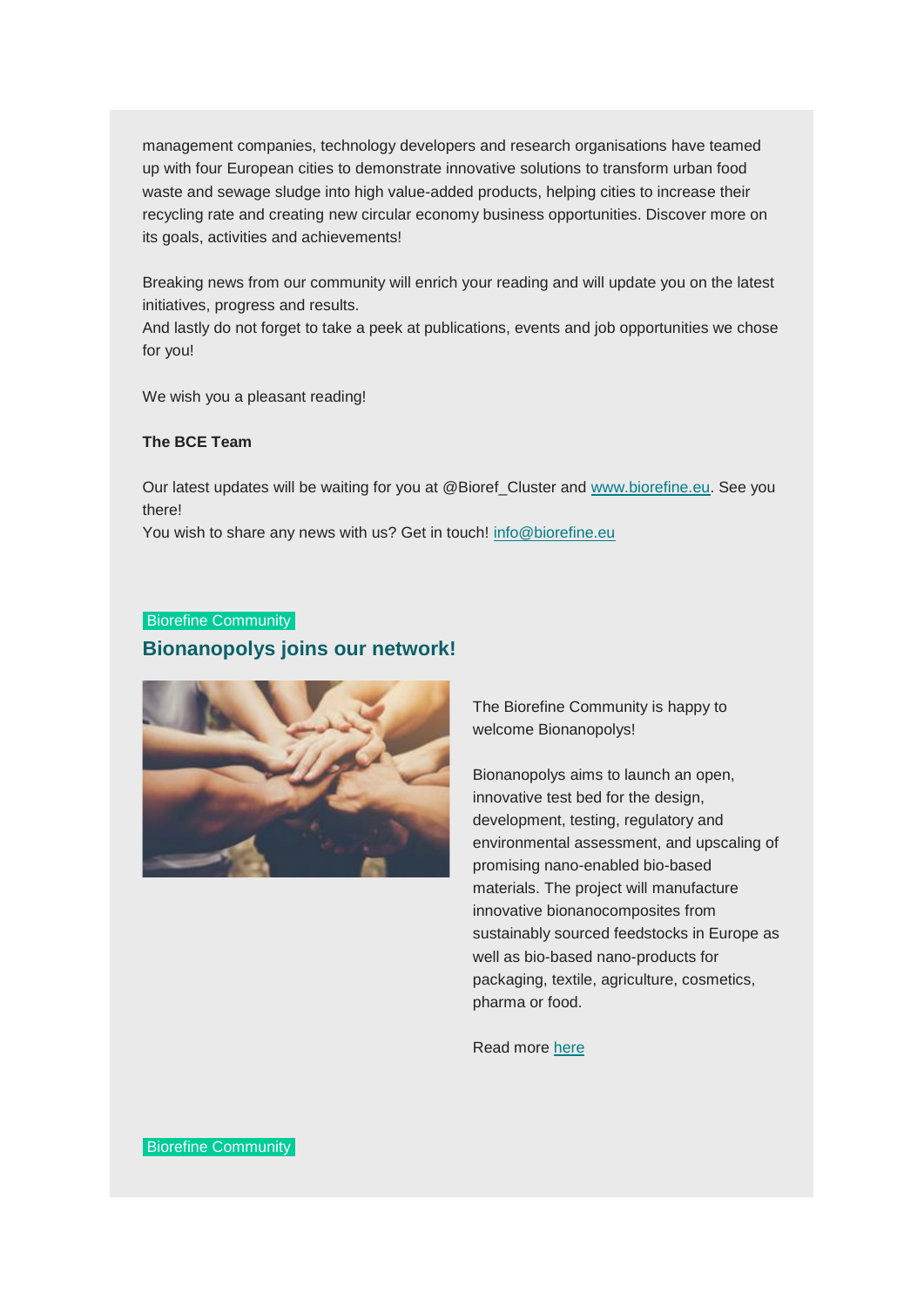management companies, technology developers and research organisations have teamed up with four European cities to demonstrate innovative solutions to transform urban food waste and sewage sludge into high value-added products, helping cities to increase their recycling rate and creating new circular economy business opportunities. Discover more on its goals, activities and achievements!

Breaking news from our community will enrich your reading and will update you on the latest initiatives, progress and results.

And lastly do not forget to take a peek at publications, events and job opportunities we chose for you!

We wish you a pleasant reading!

#### **The BCE Team**

Our latest updates will be waiting for you at @Bioref\_Cluster and [www.biorefine.eu.](http://www.biorefine.eu/) See you there!

You wish to share any news with us? Get in touch! [info@biorefine.eu](mailto:info@biorefine.eu)

# Biorefine Community

#### **Bionanopolys joins our network!**



The Biorefine Community is happy to welcome Bionanopolys!

Bionanopolys aims to launch an open, innovative test bed for the design, development, testing, regulatory and environmental assessment, and upscaling of promising nano-enabled bio-based materials. The project will manufacture innovative bionanocomposites from sustainably sourced feedstocks in Europe as well as bio-based nano-products for packaging, textile, agriculture, cosmetics, pharma or food.

Read more [here](https://www.biorefine.eu/projects/bionanopolys-an-open-innovation-test-bed-for-the-development-of-safe-nano-enabled-bio-based-materials/)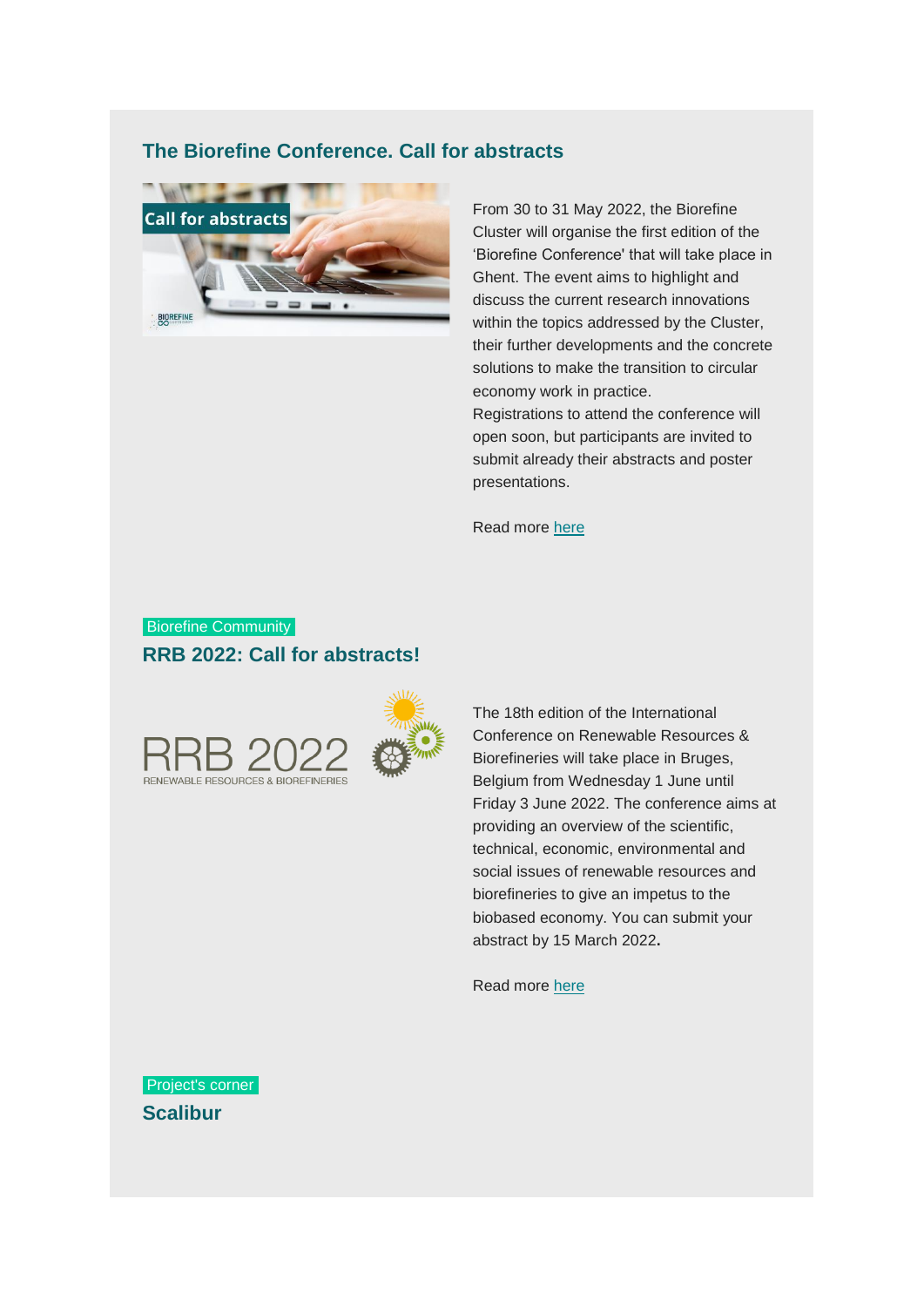# **The Biorefine Conference. Call for abstracts**



From 30 to 31 May 2022, the Biorefine Cluster will organise the first edition of the 'Biorefine Conference' that will take place in Ghent. The event aims to highlight and discuss the current research innovations within the topics addressed by the Cluster, their further developments and the concrete solutions to make the transition to circular economy work in practice. Registrations to attend the conference will open soon, but participants are invited to submit already their abstracts and poster presentations.

Read more [here](https://www.biorefine.eu/wp-content/uploads/2022/03/Call-for-abstract-template-and-poster-guidelines.pdf)

# Biorefine Community **RRB 2022: Call for abstracts!**





The 18th edition of the International Conference on Renewable Resources & Biorefineries will take place in Bruges, Belgium from Wednesday 1 June until Friday 3 June 2022. The conference aims at providing an overview of the scientific, technical, economic, environmental and social issues of renewable resources and biorefineries to give an impetus to the biobased economy. You can submit your abstract by 15 March 2022**.**

Read more [here](https://rrbconference.com/call-for-abstracts/)

Project's corner **Scalibur**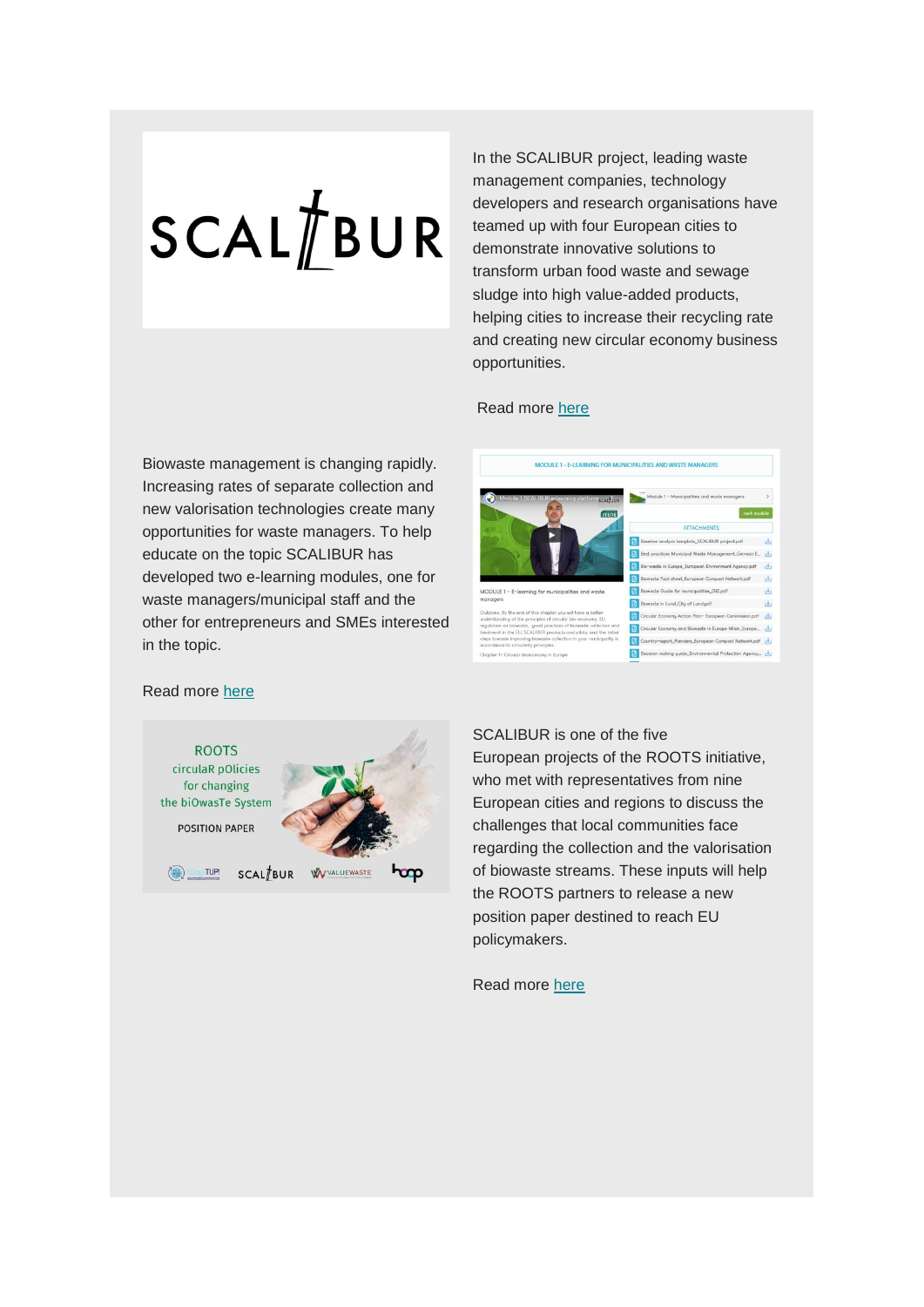# $SCAL/IBUR$

In the SCALIBUR project, leading waste management companies, technology developers and research organisations have teamed up with four European cities to demonstrate innovative solutions to transform urban food waste and sewage sludge into high value-added products, helping cities to increase their recycling rate and creating new circular economy business opportunities.

#### Read more [here](https://www.biorefine.eu/projects/scalibur-scalable-technologies-for-bio-urban-waste-recovery/)

Biowaste management is changing rapidly. Increasing rates of separate collection and new valorisation technologies create many opportunities for waste managers. To help educate on the topic SCALIBUR has developed two e-learning modules, one for waste managers/municipal staff and the other for entrepreneurs and SMEs interested in the topic.



#### Read more [here](https://scalibur.eu/2022/01/13/learn-about-biowaste-management-on-the-scalibur-e-learning-platform/)



SCALIBUR is one of the five European projects of the ROOTS initiative, who met with representatives from nine European cities and regions to discuss the challenges that local communities face regarding the collection and the valorisation of biowaste streams. These inputs will help the ROOTS partners to release a new position paper destined to reach EU policymakers.

Read more [here](http://multisite.iris.cat/scalibur/2022/03/27/cities-meet-to-discuss-challenges-for-biowaste-collection-and-valorisation/)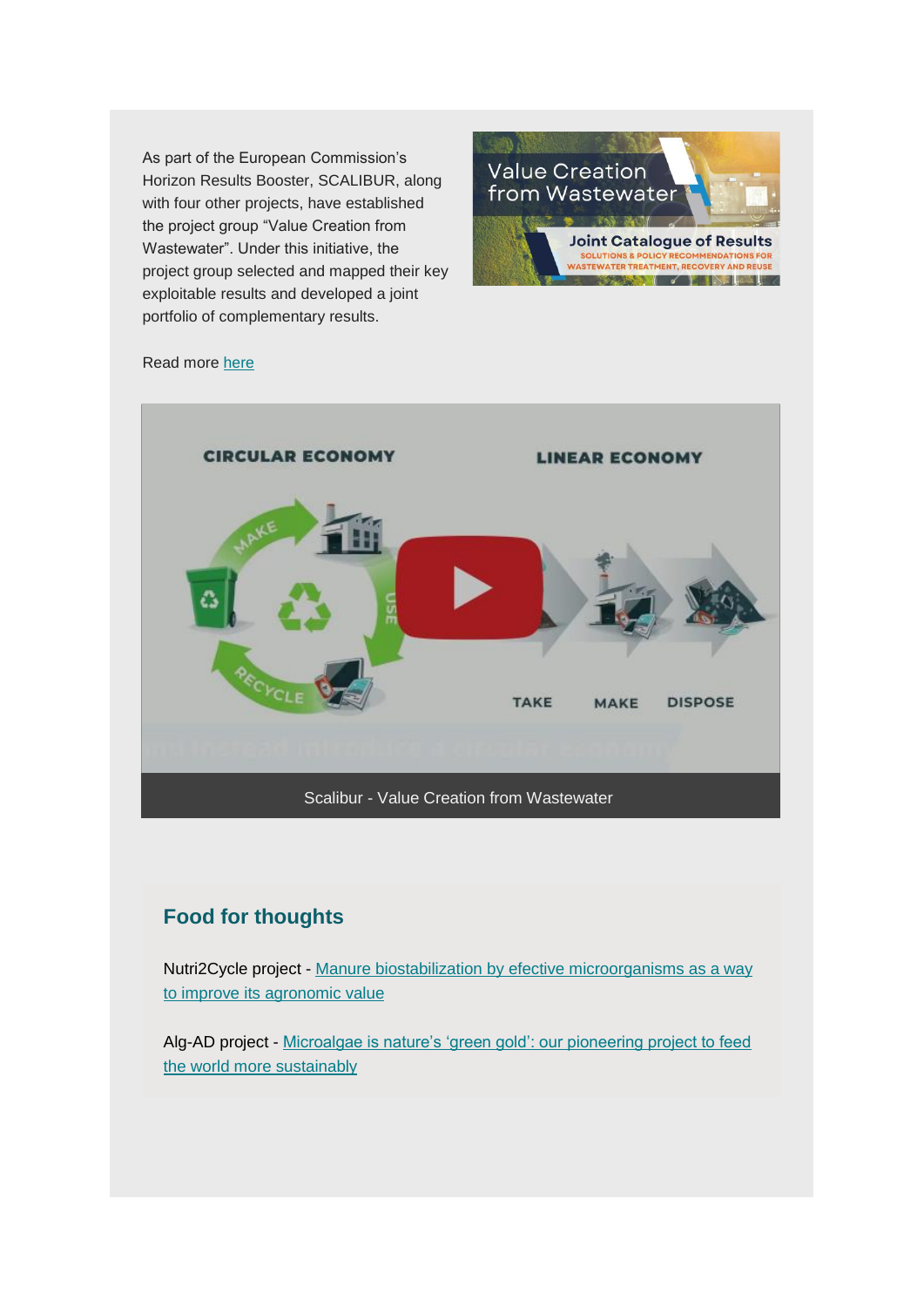As part of the European Commission's Horizon Results Booster, SCALIBUR, along with four other projects, have established the project group "Value Creation from Wastewater". Under this initiative, the project group selected and mapped their key exploitable results and developed a joint portfolio of complementary results.



#### Read more [here](https://scalibur.eu/2022/03/07/value-creation-from-wastewater/)



# **Food for thoughts**

Nutri2Cycle project - Manure biostabilization by [efective microorganisms as](https://www.nutri2cycle.eu/wp-content/uploads/2022/03/Hidalgo2022_Article_ManureBiostabilizationByEffect.pdf) a way to [improve its agronomic value](https://www.nutri2cycle.eu/wp-content/uploads/2022/03/Hidalgo2022_Article_ManureBiostabilizationByEffect.pdf)

Alg-AD project - [Microalgae is nature's 'green gold': our pioneering project to feed](https://theconversation.com/microalgae-is-natures-green-gold-our-pioneering-project-to-feed-the-world-more-sustainably-170158)  [the world more](https://theconversation.com/microalgae-is-natures-green-gold-our-pioneering-project-to-feed-the-world-more-sustainably-170158) sustainably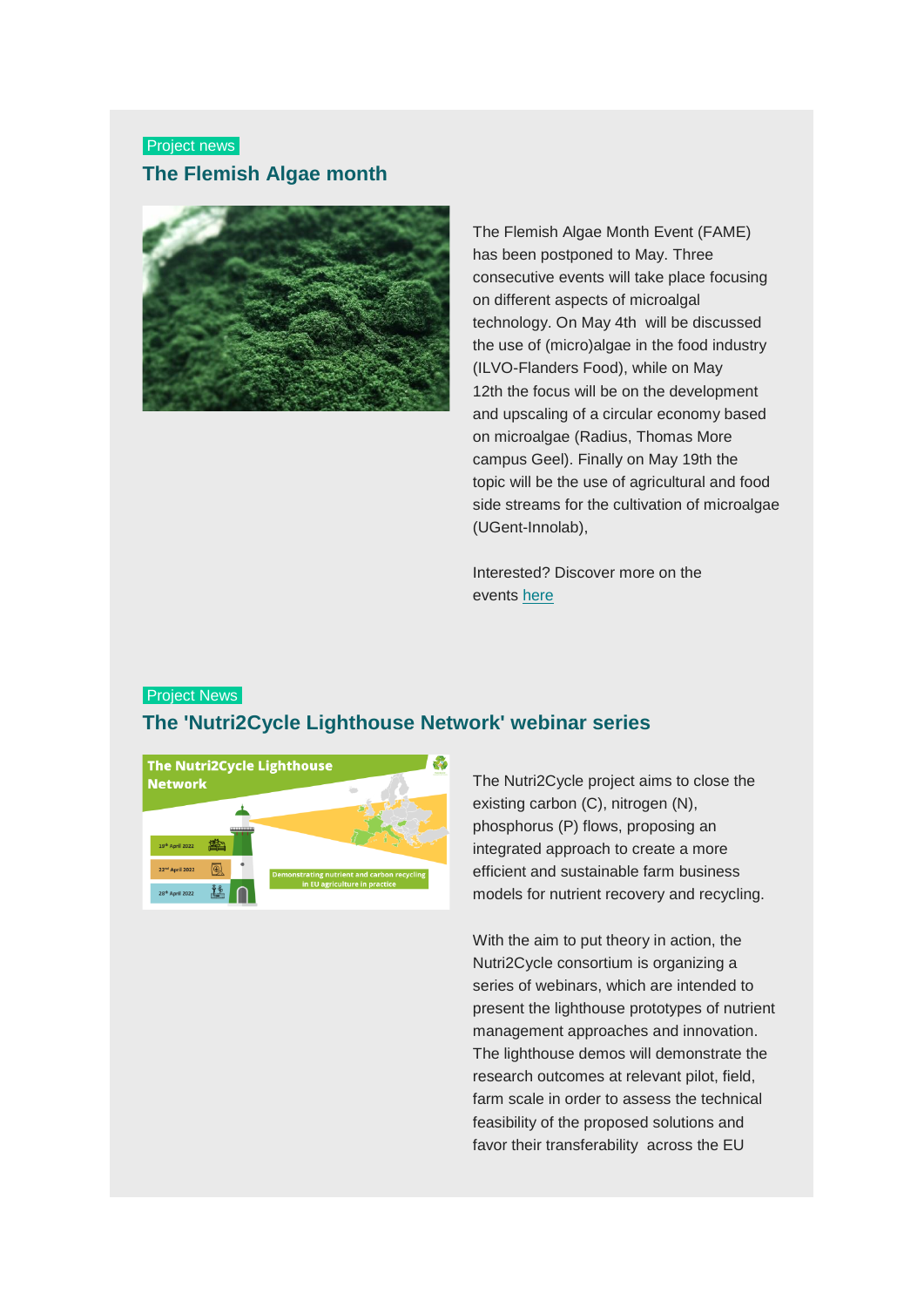# Project news **The Flemish Algae month**



The Flemish Algae Month Event (FAME) has been postponed to May. Three consecutive events will take place focusing on different aspects of microalgal technology. On May 4th will be discussed the use of (micro)algae in the food industry (ILVO-Flanders Food), while on May 12th the focus will be on the development and upscaling of a circular economy based on microalgae (Radius, Thomas More campus Geel). Finally on May 19th the topic will be the use of agricultural and food side streams for the cultivation of microalgae (UGent-Innolab),

Interested? Discover more on the events [here](https://www.biorefine.eu/news/the-flemish-algae-month/)

#### **Project News**

# **The 'Nutri2Cycle Lighthouse Network' webinar series**



The Nutri2Cycle project aims to close the existing carbon (C), nitrogen (N), phosphorus (P) flows, proposing an integrated approach to create a more efficient and sustainable farm business models for nutrient recovery and recycling.

With the aim to put theory in action, the Nutri2Cycle consortium is organizing a series of webinars, which are intended to present the lighthouse prototypes of nutrient management approaches and innovation. The lighthouse demos will demonstrate the research outcomes at relevant pilot, field, farm scale in order to assess the technical feasibility of the proposed solutions and favor their transferability across the EU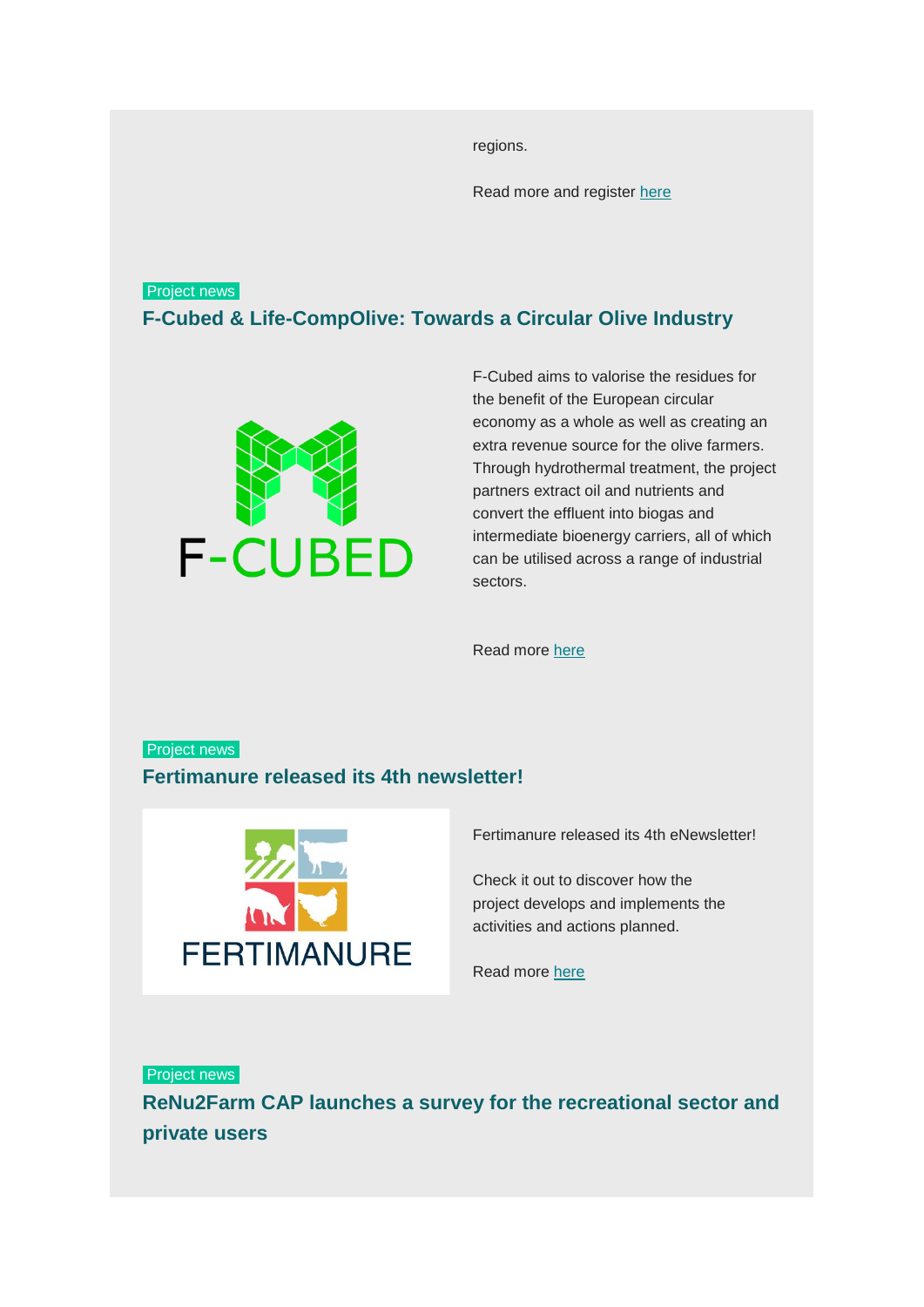regions.

Read more and register [here](https://www.biorefine.eu/wp-content/uploads/2022/03/Nutri2Cycle-Lighthouse-Network-webinar-series.pdf)

# Project news

**F-Cubed & Life-CompOlive: Towards a Circular Olive Industry**



F-Cubed aims to valorise the residues for the benefit of the European circular economy as a whole as well as creating an extra revenue source for the olive farmers. Through hydrothermal treatment, the project partners extract oil and nutrients and convert the effluent into biogas and intermediate bioenergy carriers, all of which can be utilised across a range of industrial sectors.

Read more [here](https://www.biorefine.eu/news/f-cubed-life-compolive-towards-a-circular-olive-industry/)

# Project news **Fertimanure released its 4th newsletter!**



Fertimanure released its 4th eNewsletter!

Check it out to discover how the project develops and implements the activities and actions planned.

Read more [here](http://r.fertimanure.eu/nl2/xhv7t/571hu.html?m=AWMAAB7RACAAAcqA0ZYAAC_oRZkAAAAAm38AAGPbABRrUwBiJxsiBvybYIk0R6mueYA1OSQ2LwAAERM&b=18478722&e=4d21d43b&x=4VjH6q8XAdF73u603jgUJOR0eoRkaGzpav6Q99ri8OU)

Project news **ReNu2Farm CAP launches a survey for the recreational sector and private users**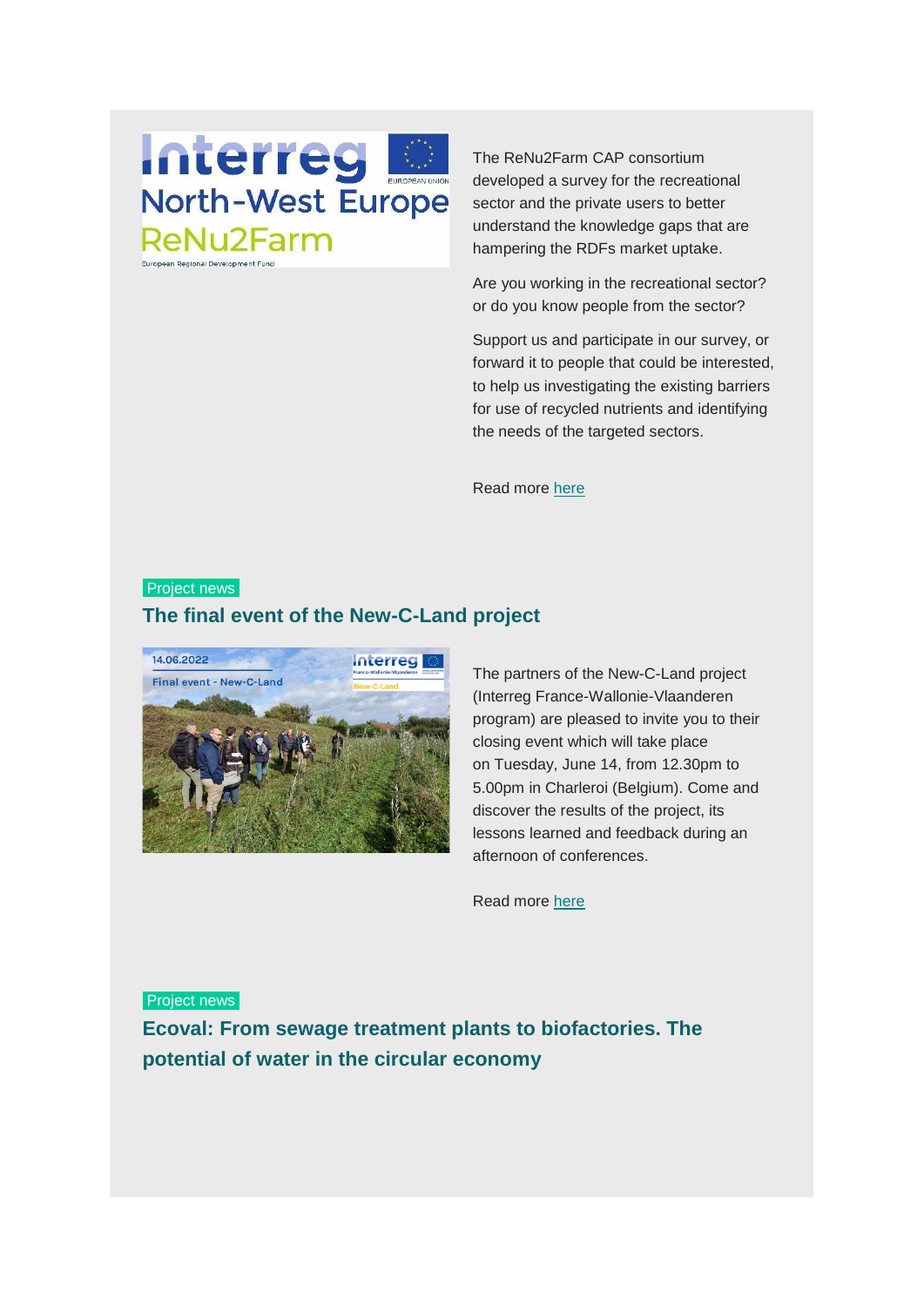# **Interreg North-West Europe ReNu2Farm** European Regional Development Fund

The ReNu2Farm CAP consortium developed a survey for the recreational sector and the private users to better understand the knowledge gaps that are hampering the RDFs market uptake.

Are you working in the recreational sector? or do you know people from the sector?

Support us and participate in our survey, or forward it to people that could be interested, to help us investigating the existing barriers for use of recycled nutrients and identifying the needs of the targeted sectors.

Read more [here](https://www.biorefine.eu/news/renu2farm-cap-launches-a-survey-for-the-recreational-sector-and-private-users/)

#### **Project news**

# **The final event of the New-C-Land project**



The partners of the New-C-Land project (Interreg France-Wallonie-Vlaanderen program) are pleased to invite you to their closing event which will take place on Tuesday, June 14, from 12.30pm to 5.00pm in Charleroi (Belgium). Come and discover the results of the project, its lessons learned and feedback during an afternoon of conferences.

Read more [here](https://www.biorefine.eu/events/final-event-of-the-new-c-land-project/)

Project news

**Ecoval: From sewage treatment plants to biofactories. The potential of water in the circular economy**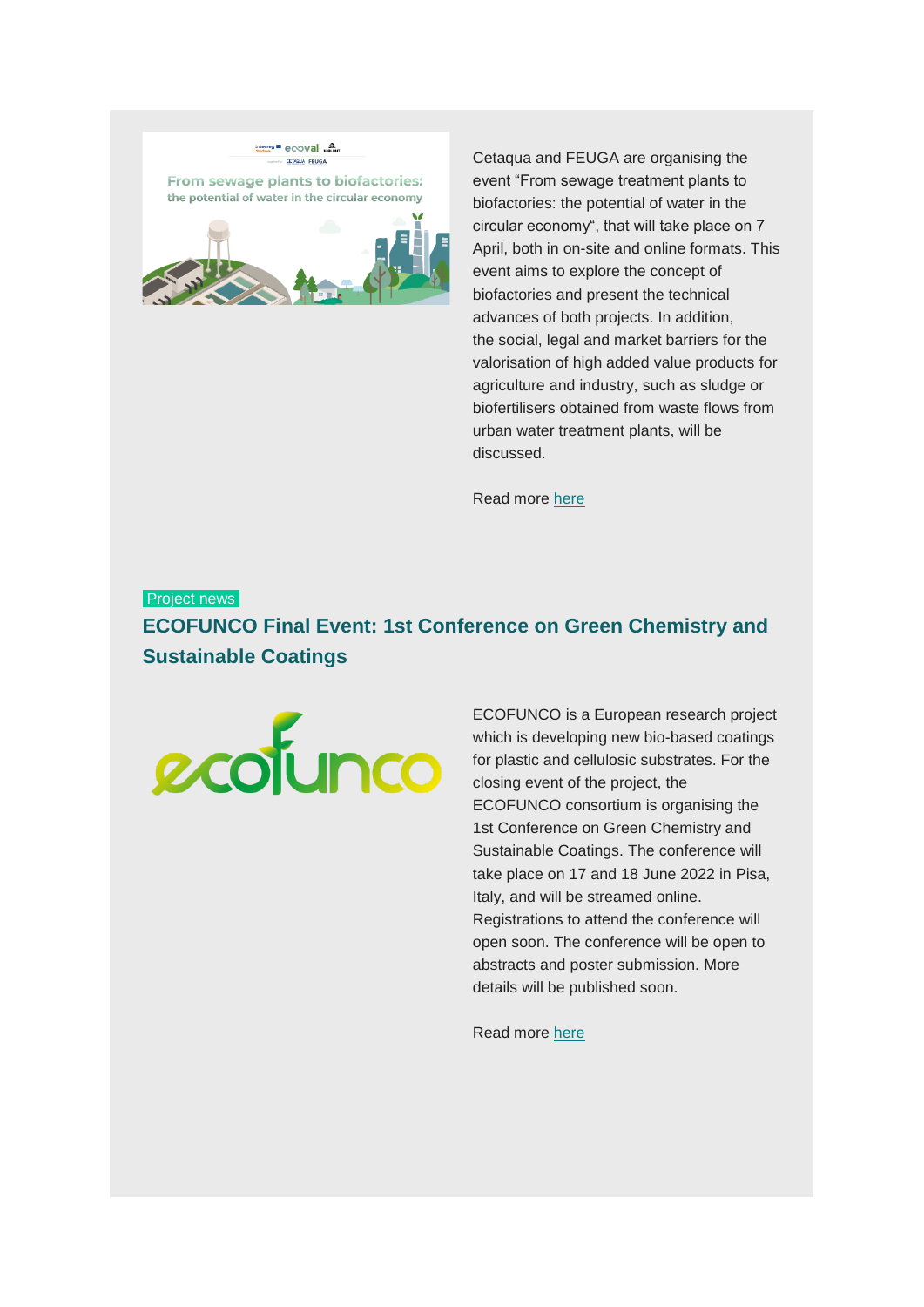

Cetaqua and FEUGA are organising the event "From sewage treatment plants to biofactories: the potential of water in the circular economy", that will take place on 7 April, both in on-site and online formats. This event aims to explore the concept of biofactories and present the technical advances of both projects. In addition, the social, legal and market barriers for the valorisation of high added value products for agriculture and industry, such as sludge or biofertilisers obtained from waste flows from urban water treatment plants, will be discussed.

Read more [here](https://www.biorefine.eu/events/from-sewage-treatment-plants-to-biofactories-the-potential-of-water-in-the-circular-economy/)

# Project news **ECOFUNCO Final Event: 1st Conference on Green Chemistry and Sustainable Coatings**



ECOFUNCO is a European research project which is developing new bio-based coatings for plastic and cellulosic substrates. For the closing event of the project, the ECOFUNCO consortium is organising the 1st Conference on Green Chemistry and Sustainable Coatings. The conference will take place on 17 and 18 June 2022 in Pisa, Italy, and will be streamed online. Registrations to attend the conference will open soon. The conference will be open to abstracts and poster submission. More details will be published soon.

Read more [here](https://www.biorefine.eu/events/ecofunco-final-event-1st-conference-on-green-chemistry-and-sustainable-coatings/)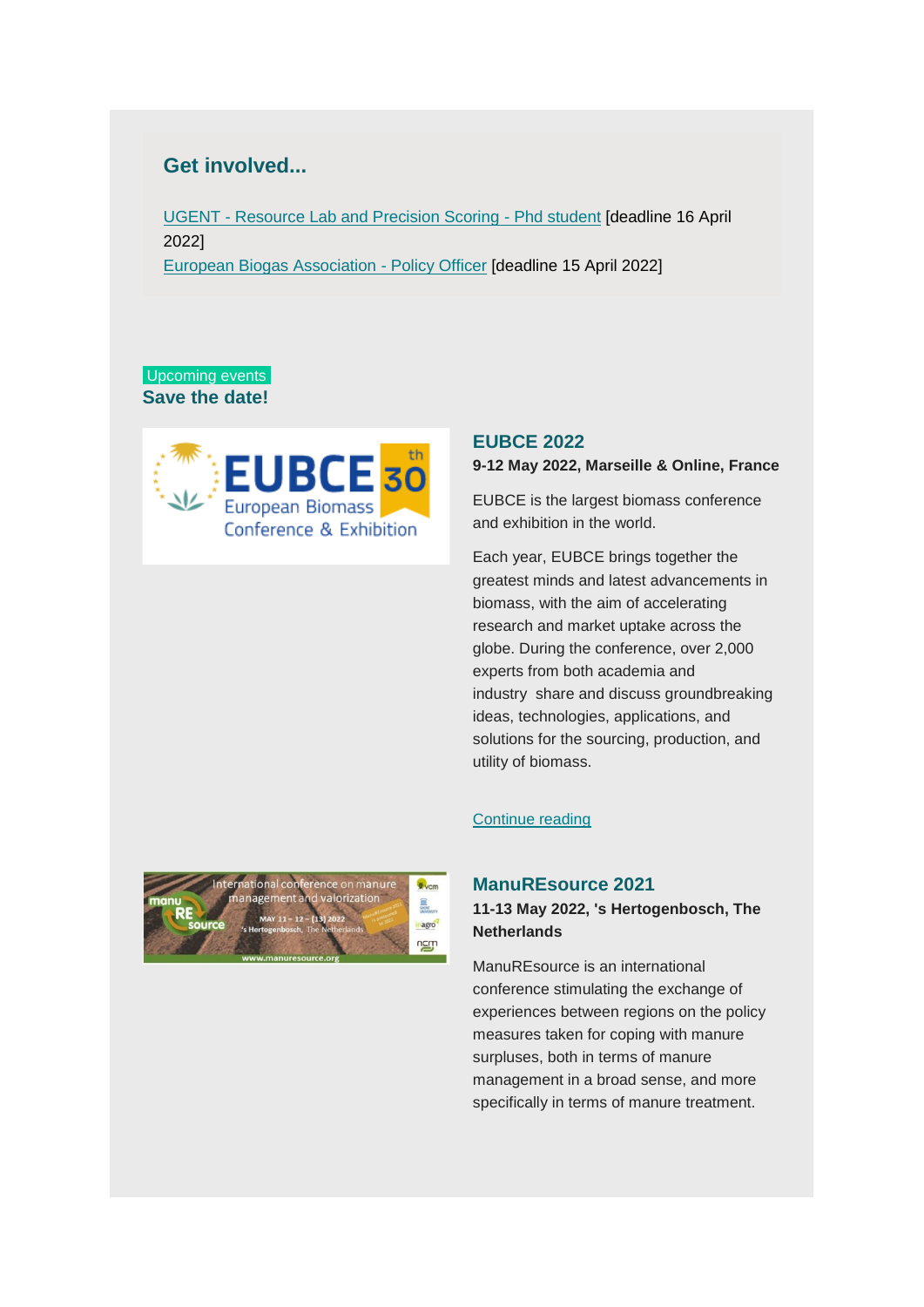# **Get involved...**

UGENT - [Resource Lab and Precision Scoring -](https://www.ugent.be/en/work/scientific/phd-student-71?fbclid=IwAR2pWw3c3EkSaRe1SqAuVoOc970EmWLwykErE2SKdeW_U4N5eTLPwdNmXI0) Phd student [deadline 16 April 2022] [European Biogas Association -](https://www.europeanbiogas.eu/the-european-biogas-association-is-looking-for-a-policy-officer-working-on-environment-and-agriculture-related-dossiers/) Policy Officer [deadline 15 April 2022]

#### Upcoming events **Save the date!**



#### **EUBCE 2022**

#### **9-12 May 2022, Marseille & Online, France**

EUBCE is the largest biomass conference and exhibition in the world.

Each year, EUBCE brings together the greatest minds and latest advancements in biomass, with the aim of accelerating research and market uptake across the globe. During the conference, over 2,000 experts from both academia and industry share and discuss groundbreaking ideas, technologies, applications, and solutions for the sourcing, production, and utility of biomass.

#### [Continue reading](https://www.eubce.com/)



#### **ManuREsource 2021**

#### **11-13 May 2022, 's Hertogenbosch, The Netherlands**

ManuREsource is an international conference stimulating the exchange of experiences between regions on the policy measures taken for coping with manure surpluses, both in terms of manure management in a broad sense, and more specifically in terms of manure treatment.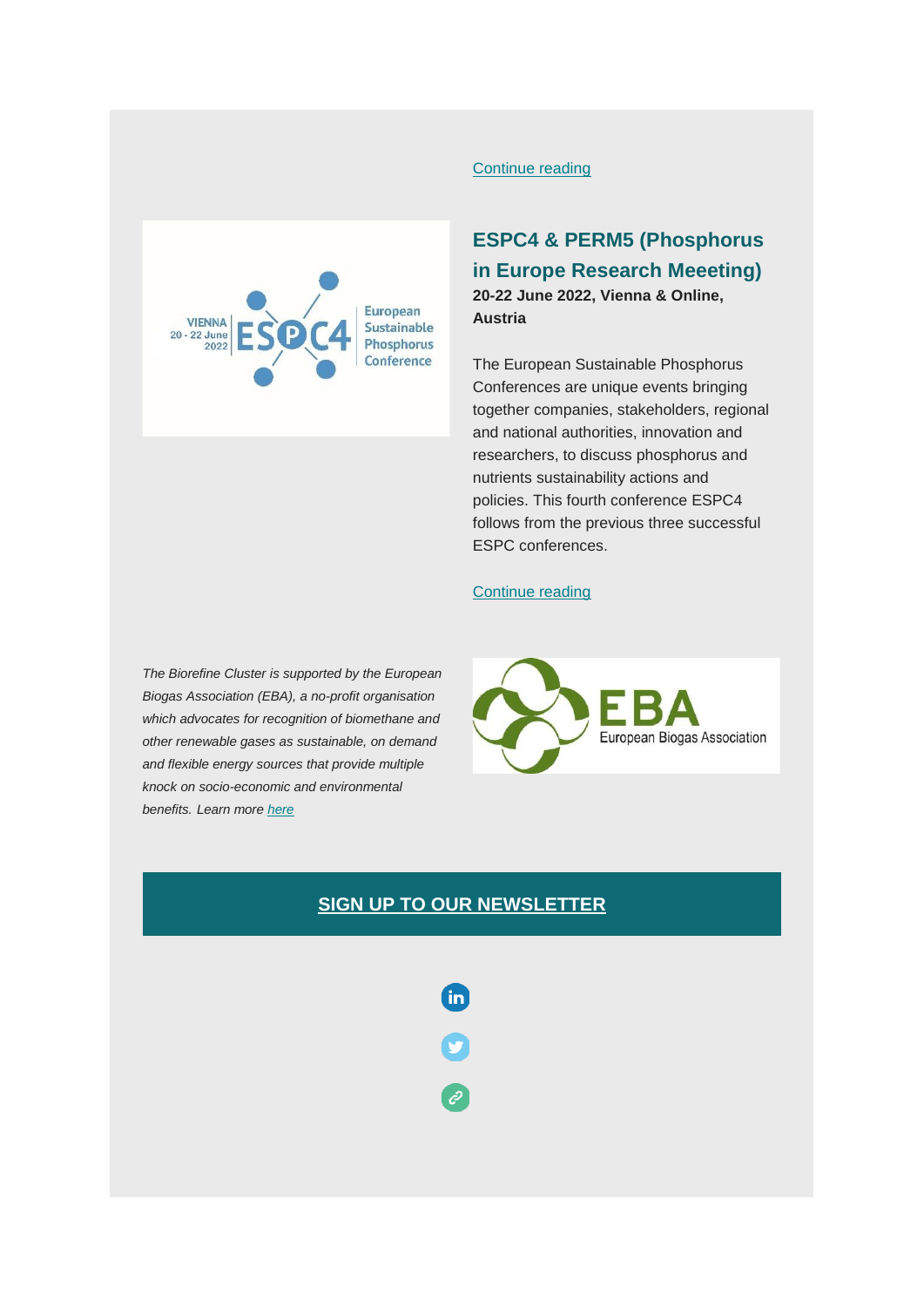

#### [Continue reading](https://www.vcm-mestverwerking.be/en/manuresource/15641/manuresource/)

# **ESPC4 & PERM5 (Phosphorus in Europe Research Meeeting) 20-22 June 2022, Vienna & Online, Austria**

The European Sustainable Phosphorus Conferences are unique events bringing together companies, stakeholders, regional and national authorities, innovation and researchers, to discuss phosphorus and nutrients sustainability actions and policies. This fourth conference ESPC4 follows from the previous three successful ESPC conferences.

#### [Continue reading](https://www.biorefine.eu/events/espc4-20-22-june-2022-vienna-austria-online/)

*The Biorefine Cluster is supported by the European Biogas Association (EBA), a no-profit organisation which advocates for recognition of biomethane and other renewable gases as sustainable, on demand and flexible energy sources that provide multiple knock on socio-economic and environmental benefits. Learn more [here](http://european-biogas.eu/)*



## **[SIGN UP TO OUR NEWSLETTER](http://eepurl.com/c876Jn)**

**in** 

e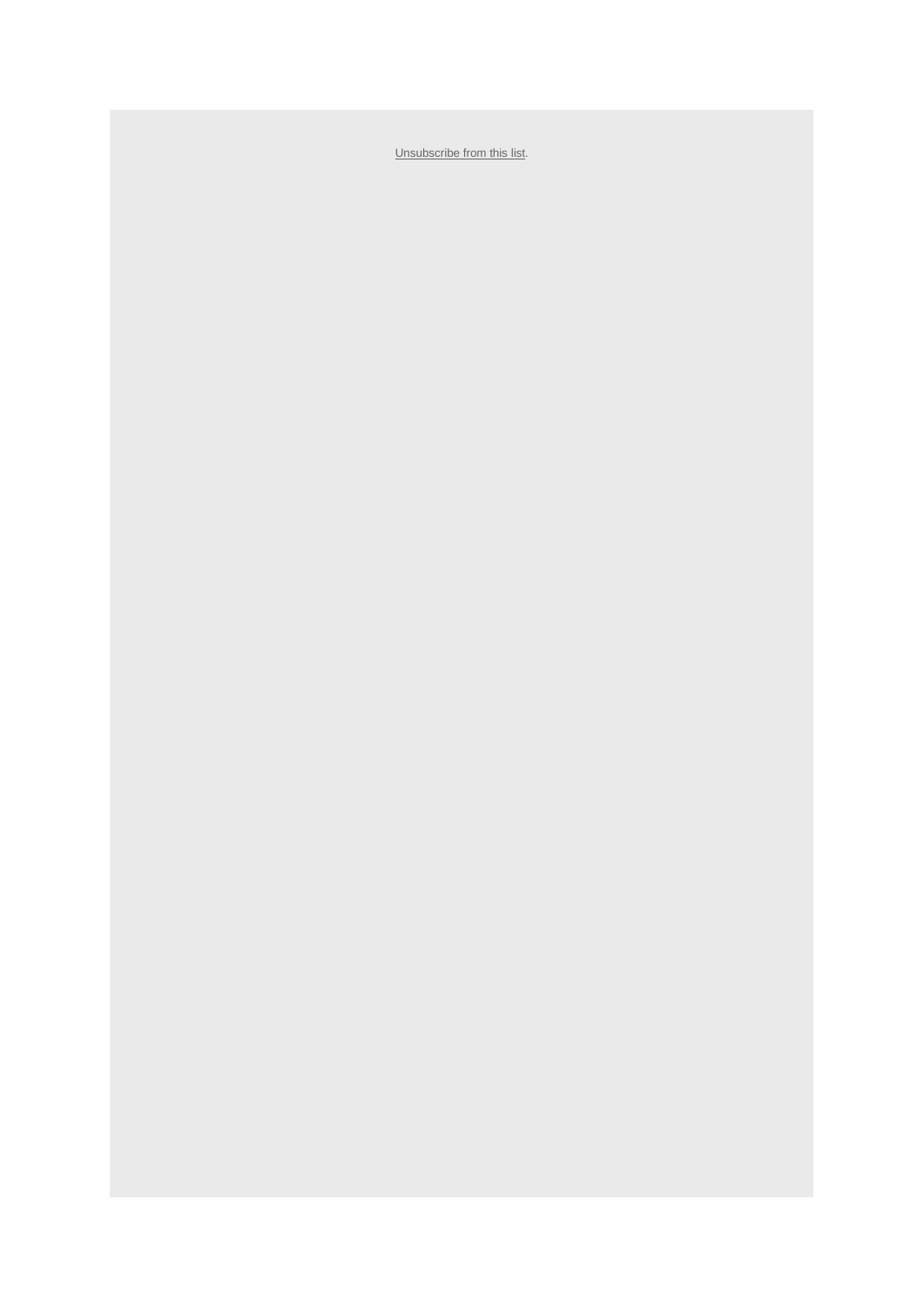[Unsubscribe from this list.](https://gmail.us4.list-manage.com/unsubscribe?u=7be77f4dcb50e9d76a5cd35b0&id=8db906c540&e=%5bUNIQID%5d&c=f16be1e9e2)